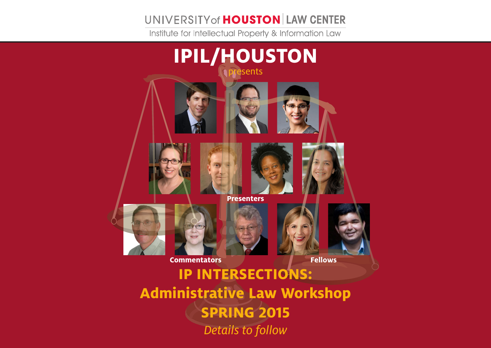## UNIVERSITY of **HOUSTON** LAW CENTER

Institute for Intellectual Property & Information Law



**Administrative Law Workshop SPRING 2015** *Details to follow*